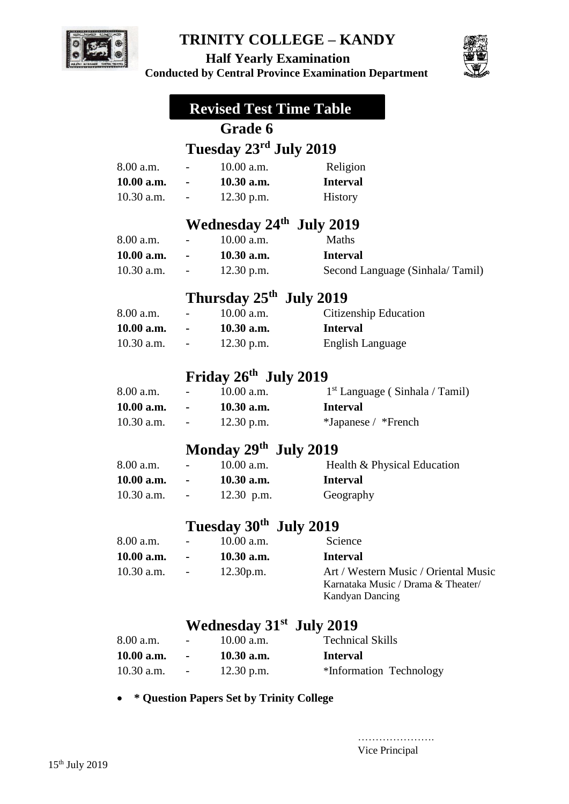

 **Half Yearly Examination** 



**Conducted by Central Province Examination Department**

|              |                                               | <b>Revised Test Time Table</b>                   |                                                                                                      |
|--------------|-----------------------------------------------|--------------------------------------------------|------------------------------------------------------------------------------------------------------|
|              |                                               | Grade 6                                          |                                                                                                      |
|              |                                               | Tuesday 23 <sup>rd</sup> July 2019               |                                                                                                      |
| 8.00 a.m.    | $\overline{\phantom{0}}$                      | 10.00 a.m.                                       | Religion                                                                                             |
| 10.00 a.m.   | $\bullet$ - $\bullet$ - $\bullet$ - $\bullet$ | $10.30$ a.m.                                     | <b>Interval</b>                                                                                      |
| $10.30$ a.m. |                                               | $-12.30$ p.m.                                    | History                                                                                              |
|              |                                               | Wednesday 24 <sup>th</sup> July 2019             |                                                                                                      |
| 8.00 a.m.    |                                               | 10.00 a.m.                                       | Maths                                                                                                |
| 10.00 a.m.   |                                               | $10.30$ a.m.                                     | <b>Interval</b>                                                                                      |
| $10.30$ a.m. |                                               | $12.30$ p.m.                                     | Second Language (Sinhala/Tamil)                                                                      |
|              |                                               | Thursday 25 <sup>th</sup> July 2019              |                                                                                                      |
| 8.00 a.m.    |                                               | 10.00 a.m.                                       | Citizenship Education                                                                                |
| 10.00 a.m.   |                                               | $10.30$ a.m.                                     | <b>Interval</b>                                                                                      |
| $10.30$ a.m. | All Controller                                | $12.30$ p.m.                                     | English Language                                                                                     |
|              |                                               | Friday 26th July 2019                            |                                                                                                      |
| 8.00 a.m.    |                                               | 10.00 a.m.                                       | $1st$ Language (Sinhala / Tamil)                                                                     |
| 10.00 a.m.   |                                               | 10.30 a.m.                                       | <b>Interval</b>                                                                                      |
| $10.30$ a.m. | $\overline{\phantom{a}}$                      | $12.30$ p.m.                                     | *Japanese / *French                                                                                  |
|              |                                               | Monday 29th July 2019                            |                                                                                                      |
| 8.00 a.m.    |                                               | 10.00 a.m.                                       | Health & Physical Education                                                                          |
| 10.00 a.m.   |                                               | $-10.30$ a.m.                                    | <b>Interval</b>                                                                                      |
| $10.30$ a.m. | $\overline{\phantom{a}}$                      | $12.30$ p.m.                                     | Geography                                                                                            |
|              |                                               |                                                  |                                                                                                      |
|              |                                               | Tuesday 30 <sup>th</sup> July 2019<br>10.00 a.m. |                                                                                                      |
| 8.00 a.m.    |                                               |                                                  | Science                                                                                              |
| 10.00 a.m.   |                                               | 10.30 a.m.                                       | <b>Interval</b>                                                                                      |
| $10.30$ a.m. |                                               | 12.30p.m.                                        | Art / Western Music / Oriental Music<br>Karnataka Music / Drama & Theater/<br><b>Kandyan Dancing</b> |
|              |                                               | Wednesday 31 <sup>st</sup> July 2019             |                                                                                                      |
| 8.00 a.m.    |                                               | 10.00 a.m.                                       | <b>Technical Skills</b>                                                                              |
| 10.00 a.m.   |                                               | 10.30 a.m.                                       | <b>Interval</b>                                                                                      |

**\* Question Papers Set by Trinity College** 

10.30 a.m. - 12.30 p.m. \*Information Technology

………………… Vice Principal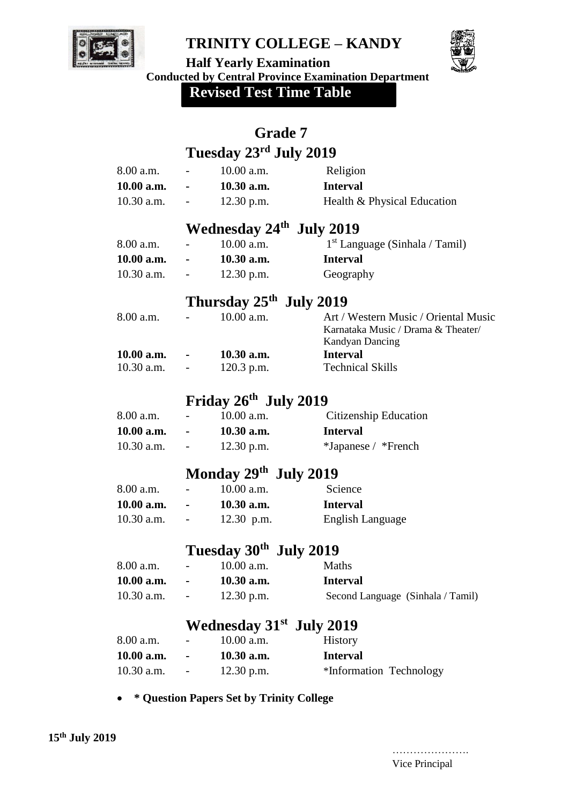



**Half Yearly Examination Conducted by Central Province Examination Department**

**Revised Test Time Table**

|                          | <b>Grade 7</b>                                         |                                                                                                                                                                                                                                                           |
|--------------------------|--------------------------------------------------------|-----------------------------------------------------------------------------------------------------------------------------------------------------------------------------------------------------------------------------------------------------------|
|                          |                                                        |                                                                                                                                                                                                                                                           |
|                          | 10.00 a.m.                                             | Religion                                                                                                                                                                                                                                                  |
|                          | 10.30 a.m.                                             | <b>Interval</b>                                                                                                                                                                                                                                           |
|                          | $12.30$ p.m.                                           | Health & Physical Education                                                                                                                                                                                                                               |
|                          |                                                        |                                                                                                                                                                                                                                                           |
|                          | 10.00 a.m.                                             | $1st$ Language (Sinhala / Tamil)                                                                                                                                                                                                                          |
|                          | $10.30$ a.m.                                           | <b>Interval</b>                                                                                                                                                                                                                                           |
| $\blacksquare$           | $12.30$ p.m.                                           | Geography                                                                                                                                                                                                                                                 |
|                          |                                                        |                                                                                                                                                                                                                                                           |
|                          | 10.00 a.m.                                             | Art / Western Music / Oriental Music<br>Karnataka Music / Drama & Theater/<br><b>Kandyan Dancing</b>                                                                                                                                                      |
|                          |                                                        | <b>Interval</b>                                                                                                                                                                                                                                           |
|                          | $120.3$ p.m.                                           | <b>Technical Skills</b>                                                                                                                                                                                                                                   |
|                          |                                                        |                                                                                                                                                                                                                                                           |
|                          | 10.00 a.m.                                             | Citizenship Education                                                                                                                                                                                                                                     |
|                          | $10.30$ a.m.                                           | <b>Interval</b>                                                                                                                                                                                                                                           |
| $\overline{\phantom{a}}$ | $12.30$ p.m.                                           | *Japanese / *French                                                                                                                                                                                                                                       |
|                          |                                                        |                                                                                                                                                                                                                                                           |
|                          | 10.00 a.m.                                             | Science                                                                                                                                                                                                                                                   |
|                          | 10.30 a.m.                                             | <b>Interval</b>                                                                                                                                                                                                                                           |
|                          | 12.30 p.m.                                             | <b>English Language</b>                                                                                                                                                                                                                                   |
|                          |                                                        |                                                                                                                                                                                                                                                           |
|                          | 10.00 a.m.                                             | Maths                                                                                                                                                                                                                                                     |
|                          | 10.30 a.m.                                             | <b>Interval</b>                                                                                                                                                                                                                                           |
|                          | $12.30$ p.m.                                           | Second Language (Sinhala / Tamil)                                                                                                                                                                                                                         |
|                          |                                                        |                                                                                                                                                                                                                                                           |
|                          | 10.00 a.m.                                             | History                                                                                                                                                                                                                                                   |
|                          |                                                        |                                                                                                                                                                                                                                                           |
|                          | 10.30 a.m.                                             | <b>Interval</b>                                                                                                                                                                                                                                           |
|                          | 10.00 a.m.<br>10.00 a.m.<br>$10.30$ a.m.<br>10.00 a.m. | Tuesday 23 <sup>rd</sup> July 2019<br>Wednesday 24 <sup>th</sup> July 2019<br>Thursday $25th$ July 2019<br>$10.30$ a.m.<br>Friday 26th July 2019<br>Monday $29th$ July 2019<br>Tuesday 30 <sup>th</sup> July 2019<br>Wednesday 31 <sup>st</sup> July 2019 |

**\* Question Papers Set by Trinity College** 

…………………. Vice Principal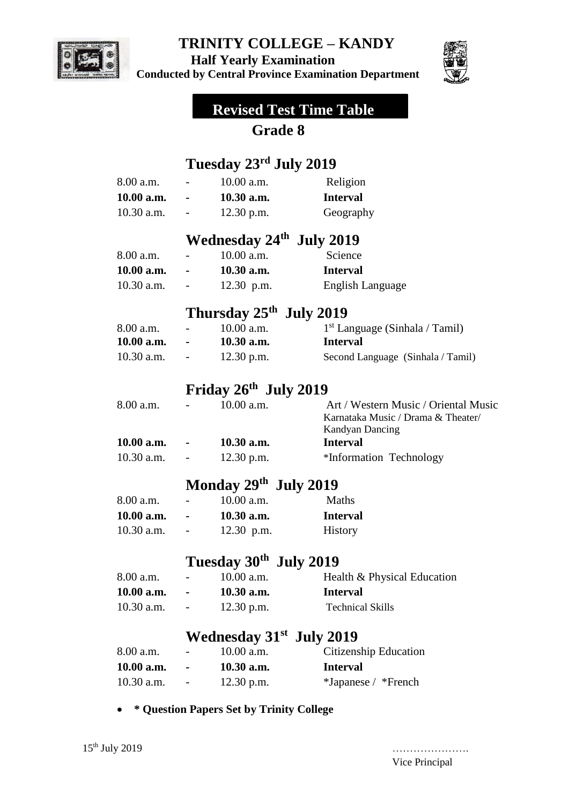

 **Half Yearly Examination** 

**Conducted by Central Province Examination Department** 



# **Revised Test Time Table**

## **Grade 8**

## **Tuesday 23rd July 2019**

| 8.00 a.m.  |                | $10.00$ a.m.                         | Religion                                                                                             |
|------------|----------------|--------------------------------------|------------------------------------------------------------------------------------------------------|
| 10.00 a.m. |                | 10.30 a.m.                           | <b>Interval</b>                                                                                      |
| 10.30 a.m. |                | $12.30$ p.m.                         | Geography                                                                                            |
|            |                | Wednesday 24 <sup>th</sup> July 2019 |                                                                                                      |
| 8.00 a.m.  |                | 10.00 a.m.                           | Science                                                                                              |
| 10.00 a.m. |                | 10.30 a.m.                           | <b>Interval</b>                                                                                      |
| 10.30 a.m. |                | 12.30 p.m.                           | <b>English Language</b>                                                                              |
|            |                | Thursday 25 <sup>th</sup> July 2019  |                                                                                                      |
| 8.00 a.m.  |                | 10.00 a.m.                           | $1st$ Language (Sinhala / Tamil)                                                                     |
| 10.00 a.m. |                | 10.30 a.m.                           | <b>Interval</b>                                                                                      |
| 10.30 a.m. |                | $12.30$ p.m.                         | Second Language (Sinhala / Tamil)                                                                    |
|            |                | Friday 26th July 2019                |                                                                                                      |
| 8.00 a.m.  |                | 10.00 a.m.                           | Art / Western Music / Oriental Music<br>Karnataka Music / Drama & Theater/<br><b>Kandyan Dancing</b> |
| 10.00 a.m. |                | 10.30 a.m.                           | <b>Interval</b>                                                                                      |
| 10.30 a.m. |                | 12.30 p.m.                           | *Information Technology                                                                              |
|            |                | Monday $29th$ July 2019              |                                                                                                      |
| 8.00 a.m.  |                | $10.00$ a.m.                         | Maths                                                                                                |
| 10.00 a.m. | $\blacksquare$ | 10.30 a.m.                           | <b>Interval</b>                                                                                      |
| 10.30 a.m. |                | $12.30$ p.m.                         | History                                                                                              |
|            |                | Tuesday 30 <sup>th</sup> July 2019   |                                                                                                      |
| 8.00 a.m.  |                | 10.00 a.m.                           | Health & Physical Education                                                                          |
| 10.00 a.m. | $\blacksquare$ | 10.30 a.m.                           | <b>Interval</b>                                                                                      |
| 10.30 a.m. |                | $12.30$ p.m.                         | <b>Technical Skills</b>                                                                              |
|            |                | Wednesday 31 <sup>st</sup> July 2019 |                                                                                                      |

| 8.00 a.m.    | $\sim$         | 10.00 a.m.   | Citizenship Education |
|--------------|----------------|--------------|-----------------------|
| 10.00 a.m.   | $\blacksquare$ | $10.30$ a.m. | <b>Interval</b>       |
| $10.30$ a.m. | $\sim$ $-$     | $12.30$ p.m. | *Japanese / *French   |

**\* Question Papers Set by Trinity College** 

Vice Principal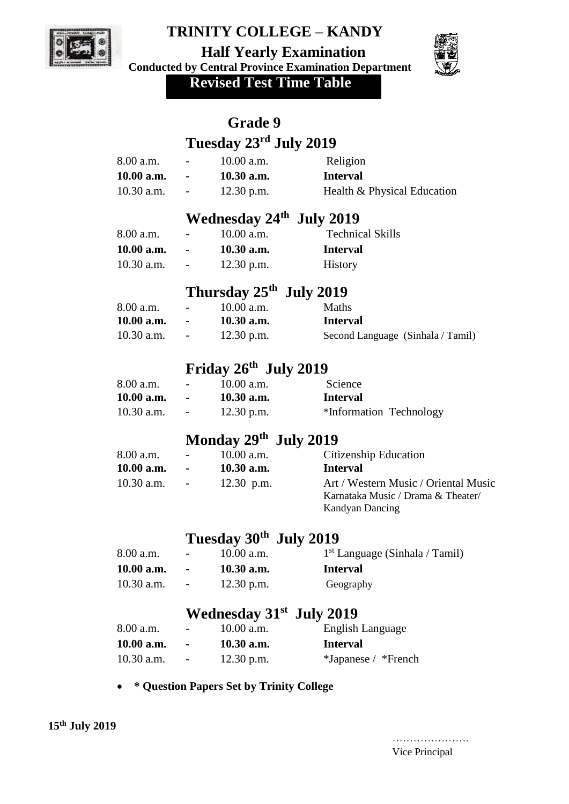

 **Half Yearly Examination** 

**Conducted by Central Province Examination Department** 



 **Revised Test Time Table**

|              |                          | <b>Grade 9</b>                           |                                                                                               |
|--------------|--------------------------|------------------------------------------|-----------------------------------------------------------------------------------------------|
|              |                          | Tuesday 23 <sup>rd</sup> July 2019       |                                                                                               |
| 8.00 a.m.    |                          | $10.00$ a.m.                             | Religion                                                                                      |
| 10.00 a.m.   | <b>All Contracts</b>     | $10.30$ a.m.                             | <b>Interval</b>                                                                               |
| 10.30 a.m.   |                          | 12.30 p.m.                               | Health & Physical Education                                                                   |
|              |                          | Wednesday 24th July 2019                 |                                                                                               |
| 8.00 a.m.    |                          | 10.00 a.m.                               | <b>Technical Skills</b>                                                                       |
| 10.00 a.m.   |                          | $10.30$ a.m.                             | <b>Interval</b>                                                                               |
| 10.30 a.m.   |                          | $12.30$ p.m.                             | History                                                                                       |
|              |                          | Thursday 25 <sup>th</sup> July 2019      |                                                                                               |
| 8.00 a.m.    |                          | 10.00 a.m.                               | Maths                                                                                         |
| 10.00 a.m.   |                          | 10.30 a.m.                               | <b>Interval</b>                                                                               |
| 10.30 a.m.   |                          | $12.30$ p.m.                             | Second Language (Sinhala / Tamil)                                                             |
|              |                          | Friday $26th$ July 2019                  |                                                                                               |
| 8.00 a.m.    |                          | 10.00 a.m.                               | Science                                                                                       |
| 10.00 a.m.   |                          | $10.30$ a.m.                             | <b>Interval</b>                                                                               |
| 10.30 a.m.   |                          | $12.30$ p.m.                             | *Information Technology                                                                       |
|              |                          | Monday $29th$ July 2019                  |                                                                                               |
| 8.00 a.m.    |                          | $10.00$ a.m.                             | Citizenship Education                                                                         |
| 10.00 a.m.   |                          | $10.30$ a.m.                             | <b>Interval</b>                                                                               |
| $10.30$ a.m. |                          | 12.30 p.m.                               | Art / Western Music / Oriental Music<br>Karnataka Music / Drama & Theater/<br>Kandyan Dancing |
|              |                          | Tuesday 30th July 2019                   |                                                                                               |
| 8.00 a.m.    |                          | 10.00 a.m.                               | $1st$ Language (Sinhala / Tamil)                                                              |
| 10.00 a.m.   |                          | 10.30 a.m.                               | <b>Interval</b>                                                                               |
| 10.30 a.m.   | $\overline{\phantom{0}}$ | 12.30 p.m.                               | Geography                                                                                     |
|              |                          | Wednesday 31 <sup>st</sup> July 2019     |                                                                                               |
| 8.00 a.m.    |                          | 10.00 a.m.                               | English Language                                                                              |
| 10.00 a.m.   |                          | 10.30 a.m.                               | <b>Interval</b>                                                                               |
| 10.30 a.m.   |                          | 12.30 p.m.                               | *Japanese / *French                                                                           |
|              |                          | * Ouestion Papers Set by Trinity College |                                                                                               |

**\* Question Papers Set by Trinity College** 

…………………. Vice Principal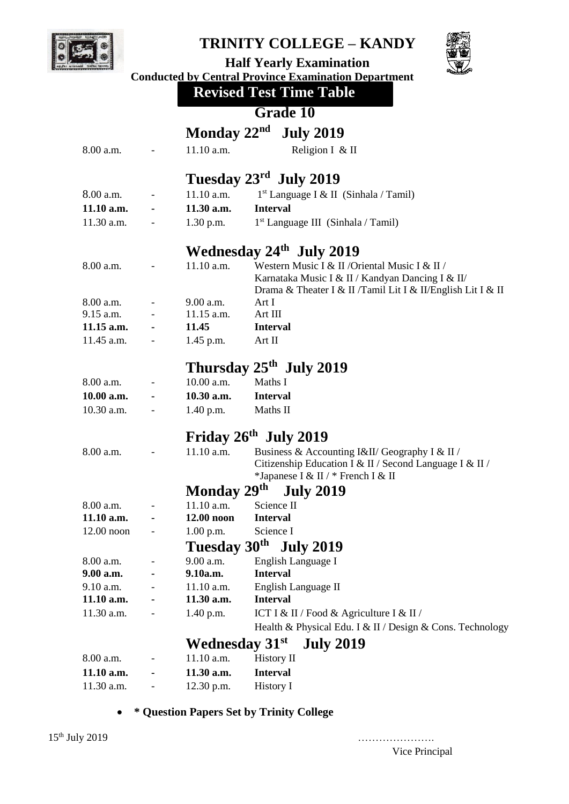



 **Half Yearly Examination Conducted by Central Province Examination Department** 

 **Revised Test Time Table**

# **Grade 10**

| Monday $22nd$ July 2019 |                          |                       |                                                                                                                                                                   |  |
|-------------------------|--------------------------|-----------------------|-------------------------------------------------------------------------------------------------------------------------------------------------------------------|--|
| 8.00 a.m.               |                          | 11.10 a.m.            | Religion I & II                                                                                                                                                   |  |
| Tuesday 23rd July 2019  |                          |                       |                                                                                                                                                                   |  |
| 8.00 a.m.               | $\overline{\phantom{a}}$ | 11.10 a.m.            | 1 <sup>st</sup> Language I & II (Sinhala / Tamil)                                                                                                                 |  |
| 11.10 a.m.              |                          | 11.30 a.m.            | <b>Interval</b>                                                                                                                                                   |  |
| 11.30 a.m.              |                          | $1.30$ p.m.           | $1st$ Language III (Sinhala / Tamil)                                                                                                                              |  |
|                         |                          |                       |                                                                                                                                                                   |  |
|                         |                          |                       | Wednesday 24 <sup>th</sup> July 2019                                                                                                                              |  |
| 8.00 a.m.               |                          | 11.10 a.m.            | Western Music I & II / Oriental Music I & II /<br>Karnataka Music I & II / Kandyan Dancing I & II/<br>Drama & Theater I & II /Tamil Lit I & II/English Lit I & II |  |
| 8.00 a.m.               |                          | 9.00 a.m.             | Art I                                                                                                                                                             |  |
| 9.15 a.m.               |                          | 11.15 a.m.            | Art III                                                                                                                                                           |  |
| $11.15$ a.m.            |                          | 11.45                 | <b>Interval</b>                                                                                                                                                   |  |
| 11.45 a.m.              |                          | $1.45$ p.m.           | Art II                                                                                                                                                            |  |
|                         |                          |                       | Thursday 25 <sup>th</sup> July 2019                                                                                                                               |  |
| 8.00 a.m.               |                          | 10.00 a.m.            | Maths I                                                                                                                                                           |  |
| 10.00 a.m.              |                          | 10.30 a.m.            | <b>Interval</b>                                                                                                                                                   |  |
| 10.30 a.m.              |                          | $1.40$ p.m.           | Maths II                                                                                                                                                          |  |
|                         |                          |                       | Friday $26th$ July 2019                                                                                                                                           |  |
| 8.00 a.m.               |                          | 11.10 a.m.            | Business & Accounting I&II/ Geography I & II/                                                                                                                     |  |
|                         |                          |                       | Citizenship Education I & II / Second Language I & II /<br>*Japanese I & II / * French I & II                                                                     |  |
|                         |                          | Monday 29th           | <b>July 2019</b>                                                                                                                                                  |  |
| 8.00 a.m.               |                          | 11.10 a.m.            | Science II                                                                                                                                                        |  |
| $11.10$ a.m.            |                          | 12.00 noon            | <b>Interval</b>                                                                                                                                                   |  |
| $12.00$ noon            |                          | 1.00 p.m.             | Science I                                                                                                                                                         |  |
|                         |                          |                       | Tuesday 30 <sup>th</sup> July 2019                                                                                                                                |  |
| 8.00 a.m.               |                          | 9.00 a.m.             | English Language I                                                                                                                                                |  |
| 9.00 a.m.               |                          | 9.10a.m.              | <b>Interval</b>                                                                                                                                                   |  |
| 9.10 a.m.               |                          | 11.10 a.m.            | English Language II                                                                                                                                               |  |
| 11.10 a.m.              |                          | 11.30 a.m.            | <b>Interval</b>                                                                                                                                                   |  |
| 11.30 a.m.              |                          | 1.40 p.m.             | ICT I & II / Food & Agriculture I & II /                                                                                                                          |  |
|                         |                          |                       | Health & Physical Edu. I & II / Design & Cons. Technology                                                                                                         |  |
|                         |                          | <b>Wednesday 31st</b> | <b>July 2019</b>                                                                                                                                                  |  |
| 8.00 a.m.               |                          | 11.10 a.m.            | History II                                                                                                                                                        |  |
| 11.10 a.m.              |                          | 11.30 a.m.            | <b>Interval</b>                                                                                                                                                   |  |
| 11.30 a.m.              |                          | 12.30 p.m.            | History I                                                                                                                                                         |  |

**\* Question Papers Set by Trinity College** 

Vice Principal